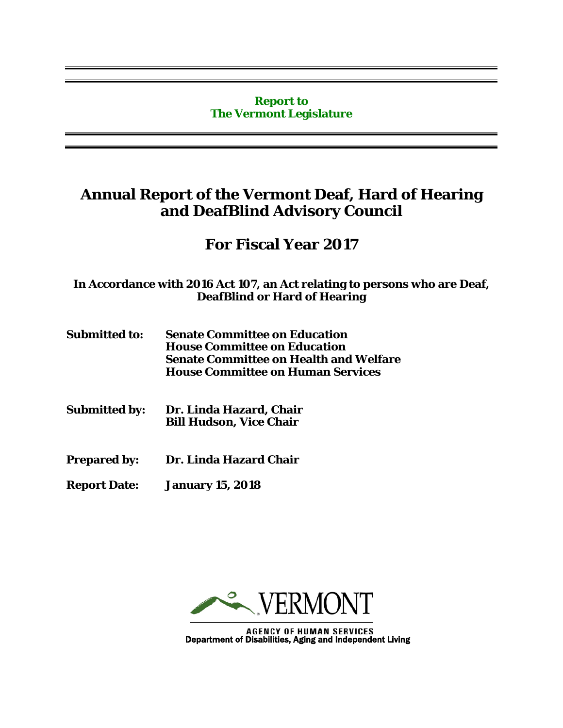### **Report to The Vermont Legislature**

# **Annual Report of the Vermont Deaf, Hard of Hearing and DeafBlind Advisory Council**

# **For Fiscal Year 2017**

**In Accordance with 2016 Act 107, an Act relating to persons who are Deaf, DeafBlind or Hard of Hearing**

- **Submitted to: Senate Committee on Education House Committee on Education Senate Committee on Health and Welfare House Committee on Human Services**
- **Submitted by: Dr. Linda Hazard, Chair Bill Hudson, Vice Chair**
- **Prepared by: Dr. Linda Hazard Chair**
- **Report Date: January 15, 2018**



**AGENCY OF HUMAN SERVICES** Department of Disabilities, Aging and Independent Living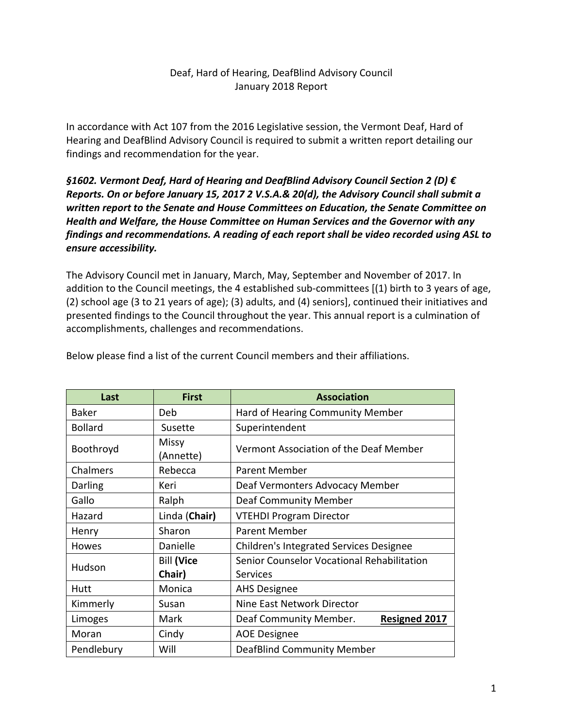## Deaf, Hard of Hearing, DeafBlind Advisory Council January 2018 Report

In accordance with Act 107 from the 2016 Legislative session, the Vermont Deaf, Hard of Hearing and DeafBlind Advisory Council is required to submit a written report detailing our findings and recommendation for the year.

*§1602. Vermont Deaf, Hard of Hearing and DeafBlind Advisory Council Section 2 (D) € Reports. On or before January 15, 2017 2 V.S.A.& 20(d), the Advisory Council shall submit a written report to the Senate and House Committees on Education, the Senate Committee on Health and Welfare, the House Committee on Human Services and the Governor with any findings and recommendations. A reading of each report shall be video recorded using ASL to ensure accessibility.*

The Advisory Council met in January, March, May, September and November of 2017. In addition to the Council meetings, the 4 established sub-committees [(1) birth to 3 years of age, (2) school age (3 to 21 years of age); (3) adults, and (4) seniors], continued their initiatives and presented findings to the Council throughout the year. This annual report is a culmination of accomplishments, challenges and recommendations.

| Last           | <b>First</b>                | <b>Association</b>                                     |  |
|----------------|-----------------------------|--------------------------------------------------------|--|
| Baker          | Deb                         | Hard of Hearing Community Member                       |  |
| <b>Bollard</b> | Susette                     | Superintendent                                         |  |
| Boothroyd      | <b>Missy</b><br>(Annette)   | Vermont Association of the Deaf Member                 |  |
| Chalmers       | Rebecca                     | <b>Parent Member</b>                                   |  |
| Darling        | Keri                        | Deaf Vermonters Advocacy Member                        |  |
| Gallo          | Ralph                       | Deaf Community Member                                  |  |
| Hazard         | Linda (Chair)               | <b>VTEHDI Program Director</b>                         |  |
| Henry          | Sharon                      | <b>Parent Member</b>                                   |  |
| Howes          | Danielle                    | Children's Integrated Services Designee                |  |
| Hudson         | <b>Bill (Vice</b><br>Chair) | Senior Counselor Vocational Rehabilitation<br>Services |  |
| Hutt           | Monica                      | <b>AHS Designee</b>                                    |  |
| Kimmerly       | Susan                       | Nine East Network Director                             |  |
| Limoges        | Mark                        | <b>Resigned 2017</b><br>Deaf Community Member.         |  |
| Moran          | Cindy                       | <b>AOE Designee</b>                                    |  |
| Pendlebury     | Will                        | <b>DeafBlind Community Member</b>                      |  |

Below please find a list of the current Council members and their affiliations.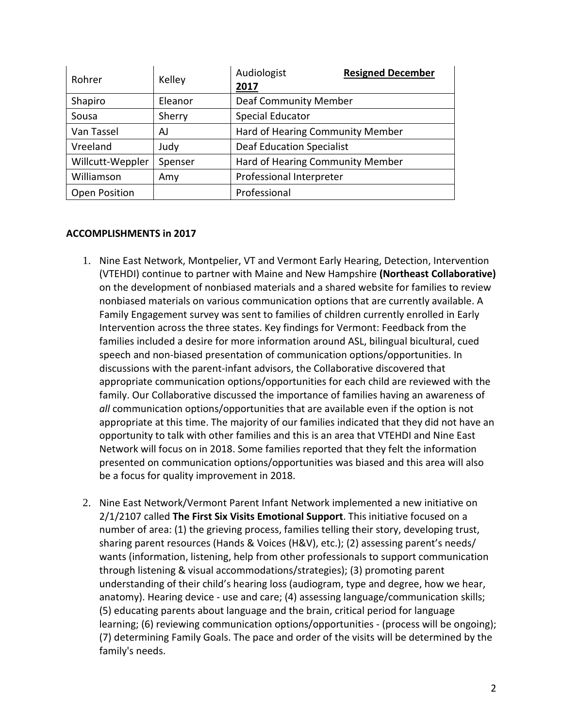| Rohrer               | Kelley  | Audiologist<br>2017              | <b>Resigned December</b> |
|----------------------|---------|----------------------------------|--------------------------|
| Shapiro              | Eleanor | <b>Deaf Community Member</b>     |                          |
| Sousa                | Sherry  | <b>Special Educator</b>          |                          |
| Van Tassel           | AJ      | Hard of Hearing Community Member |                          |
| Vreeland             | Judy    | <b>Deaf Education Specialist</b> |                          |
| Willcutt-Weppler     | Spenser | Hard of Hearing Community Member |                          |
| Williamson           | Amy     | Professional Interpreter         |                          |
| <b>Open Position</b> |         | Professional                     |                          |

#### **ACCOMPLISHMENTS in 2017**

- 1. Nine East Network, Montpelier, VT and Vermont Early Hearing, Detection, Intervention (VTEHDI) continue to partner with Maine and New Hampshire **(Northeast Collaborative)** on the development of nonbiased materials and a shared website for families to review nonbiased materials on various communication options that are currently available. A Family Engagement survey was sent to families of children currently enrolled in Early Intervention across the three states. Key findings for Vermont: Feedback from the families included a desire for more information around ASL, bilingual bicultural, cued speech and non-biased presentation of communication options/opportunities. In discussions with the parent-infant advisors, the Collaborative discovered that appropriate communication options/opportunities for each child are reviewed with the family. Our Collaborative discussed the importance of families having an awareness of *all* communication options/opportunities that are available even if the option is not appropriate at this time. The majority of our families indicated that they did not have an opportunity to talk with other families and this is an area that VTEHDI and Nine East Network will focus on in 2018. Some families reported that they felt the information presented on communication options/opportunities was biased and this area will also be a focus for quality improvement in 2018.
- 2. Nine East Network/Vermont Parent Infant Network implemented a new initiative on 2/1/2107 called **The First Six Visits Emotional Support**. This initiative focused on a number of area: (1) the grieving process, families telling their story, developing trust, sharing parent resources (Hands & Voices (H&V), etc.); (2) assessing parent's needs/ wants (information, listening, help from other professionals to support communication through listening & visual accommodations/strategies); (3) promoting parent understanding of their child's hearing loss (audiogram, type and degree, how we hear, anatomy). Hearing device - use and care; (4) assessing language/communication skills; (5) educating parents about language and the brain, critical period for language learning; (6) reviewing communication options/opportunities - (process will be ongoing); (7) determining Family Goals. The pace and order of the visits will be determined by the family's needs.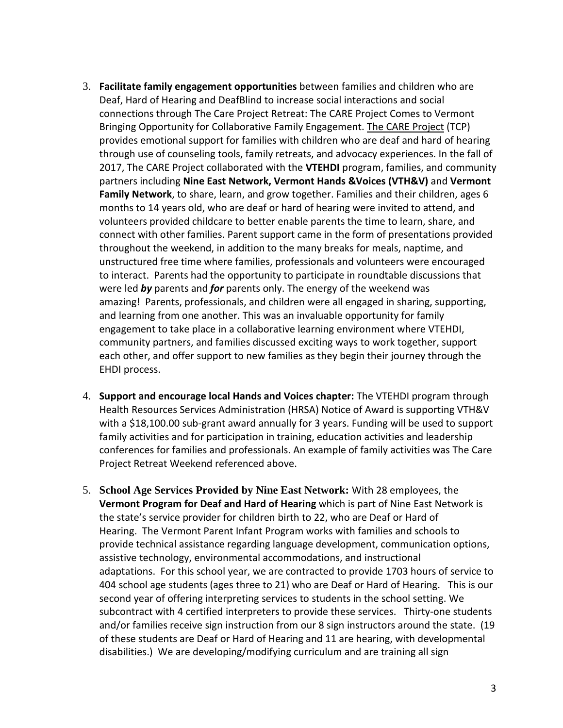- 3. **Facilitate family engagement opportunities** between families and children who are Deaf, Hard of Hearing and DeafBlind to increase social interactions and social connections through The Care Project Retreat: The CARE Project Comes to Vermont Bringing Opportunity for Collaborative Family Engagement. The CARE [Project](http://www.thecareproject.com/about/) (TCP) provides emotional support for families with children who are deaf and hard of hearing through use of counseling tools, family retreats, and advocacy experiences. In the fall of 2017, The CARE Project collaborated with the **VTEHDI** program, families, and community partners including **Nine East Network, Vermont Hands &Voices (VTH&V)** and **Vermont Family Network**, to share, learn, and grow together. Families and their children, ages 6 months to 14 years old, who are deaf or hard of hearing were invited to attend, and volunteers provided childcare to better enable parents the time to learn, share, and connect with other families. Parent support came in the form of presentations provided throughout the weekend, in addition to the many breaks for meals, naptime, and unstructured free time where families, professionals and volunteers were encouraged to interact. Parents had the opportunity to participate in roundtable discussions that were led *by* parents and *for* parents only. The energy of the weekend was amazing! Parents, professionals, and children were all engaged in sharing, supporting, and learning from one another. This was an invaluable opportunity for family engagement to take place in a collaborative learning environment where VTEHDI, community partners, and families discussed exciting ways to work together, support each other, and offer support to new families as they begin their journey through the EHDI process.
- 4. **Support and encourage local Hands and Voices chapter:** The VTEHDI program through Health Resources Services Administration (HRSA) Notice of Award is supporting VTH&V with a \$18,100.00 sub-grant award annually for 3 years. Funding will be used to support family activities and for participation in training, education activities and leadership conferences for families and professionals. An example of family activities was The Care Project Retreat Weekend referenced above.
- 5. **School Age Services Provided by Nine East Network:** With 28 employees, the **Vermont Program for Deaf and Hard of Hearing** which is part of Nine East Network is the state's service provider for children birth to 22, who are Deaf or Hard of Hearing. The Vermont Parent Infant Program works with families and schools to provide technical assistance regarding language development, communication options, assistive technology, environmental accommodations, and instructional adaptations. For this school year, we are contracted to provide 1703 hours of service to 404 school age students (ages three to 21) who are Deaf or Hard of Hearing. This is our second year of offering interpreting services to students in the school setting. We subcontract with 4 certified interpreters to provide these services. Thirty-one students and/or families receive sign instruction from our 8 sign instructors around the state. (19 of these students are Deaf or Hard of Hearing and 11 are hearing, with developmental disabilities.) We are developing/modifying curriculum and are training all sign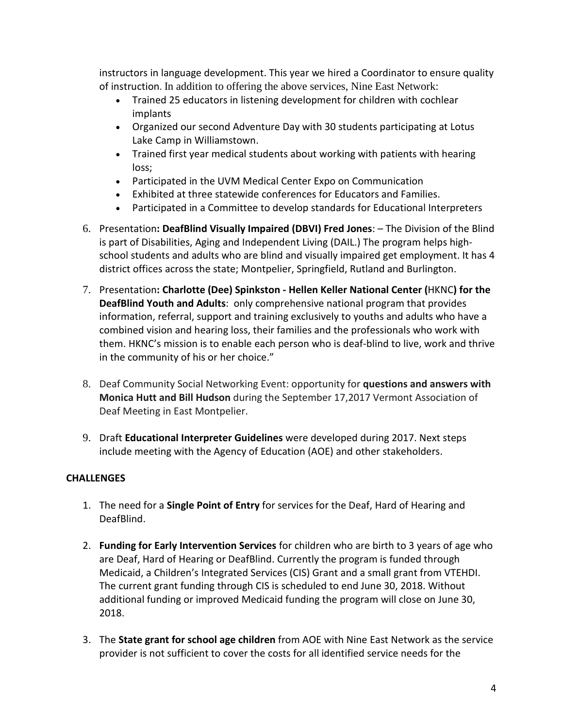instructors in language development. This year we hired a Coordinator to ensure quality of instruction. In addition to offering the above services, Nine East Network:

- Trained 25 educators in listening development for children with cochlear implants
- Organized our second Adventure Day with 30 students participating at Lotus Lake Camp in Williamstown.
- Trained first year medical students about working with patients with hearing loss;
- Participated in the UVM Medical Center Expo on Communication
- Exhibited at three statewide conferences for Educators and Families.
- Participated in a Committee to develop standards for Educational Interpreters
- 6. Presentation**: DeafBlind Visually Impaired (DBVI) Fred Jones**: The Division of the Blind is part of Disabilities, Aging and Independent Living (DAIL.) The program helps highschool students and adults who are blind and visually impaired get employment. It has 4 district offices across the state; Montpelier, Springfield, Rutland and Burlington.
- 7. Presentation**: Charlotte (Dee) Spinkston - Hellen Keller National Center (**HKNC**) for the DeafBlind Youth and Adults**: only comprehensive national program that provides information, referral, support and training exclusively to youths and adults who have a combined vision and hearing loss, their families and the professionals who work with them. HKNC's mission is to enable each person who is deaf-blind to live, work and thrive in the community of his or her choice."
- 8. Deaf Community Social Networking Event: opportunity for **questions and answers with Monica Hutt and Bill Hudson** during the September 17,2017 Vermont Association of Deaf Meeting in East Montpelier.
- 9. Draft **Educational Interpreter Guidelines** were developed during 2017. Next steps include meeting with the Agency of Education (AOE) and other stakeholders.

# **CHALLENGES**

- 1. The need for a **Single Point of Entry** for services for the Deaf, Hard of Hearing and DeafBlind.
- 2. **Funding for Early Intervention Services** for children who are birth to 3 years of age who are Deaf, Hard of Hearing or DeafBlind. Currently the program is funded through Medicaid, a Children's Integrated Services (CIS) Grant and a small grant from VTEHDI. The current grant funding through CIS is scheduled to end June 30, 2018. Without additional funding or improved Medicaid funding the program will close on June 30, 2018.
- 3. The **State grant for school age children** from AOE with Nine East Network as the service provider is not sufficient to cover the costs for all identified service needs for the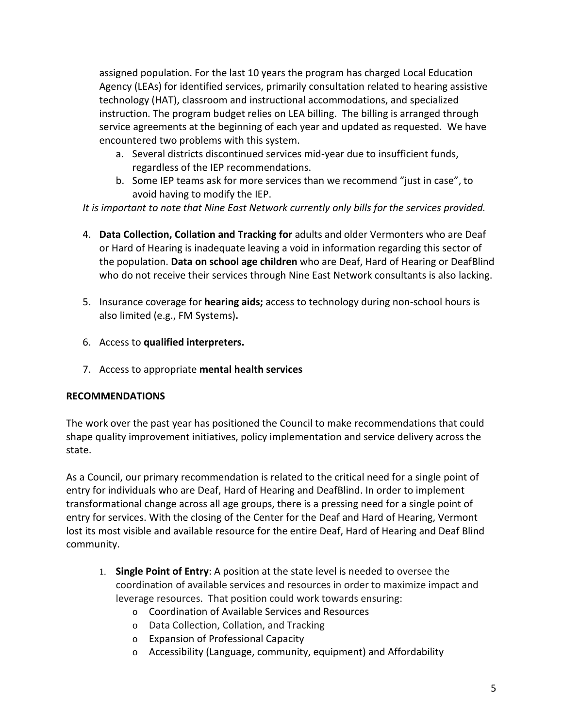assigned population. For the last 10 years the program has charged Local Education Agency (LEAs) for identified services, primarily consultation related to hearing assistive technology (HAT), classroom and instructional accommodations, and specialized instruction*.* The program budget relies on LEA billing. The billing is arranged through service agreements at the beginning of each year and updated as requested. We have encountered two problems with this system.

- a. Several districts discontinued services mid-year due to insufficient funds, regardless of the IEP recommendations.
- b. Some IEP teams ask for more services than we recommend "just in case", to avoid having to modify the IEP.

*It is important to note that Nine East Network currently only bills for the services provided.*

- 4. **Data Collection, Collation and Tracking for** adults and older Vermonters who are Deaf or Hard of Hearing is inadequate leaving a void in information regarding this sector of the population. **Data on school age children** who are Deaf, Hard of Hearing or DeafBlind who do not receive their services through Nine East Network consultants is also lacking.
- 5. Insurance coverage for **hearing aids;** access to technology during non-school hours is also limited (e.g., FM Systems)**.**
- 6. Access to **qualified interpreters.**
- 7. Access to appropriate **mental health services**

## **RECOMMENDATIONS**

The work over the past year has positioned the Council to make recommendations that could shape quality improvement initiatives, policy implementation and service delivery across the state.

As a Council, our primary recommendation is related to the critical need for a single point of entry for individuals who are Deaf, Hard of Hearing and DeafBlind. In order to implement transformational change across all age groups, there is a pressing need for a single point of entry for services. With the closing of the Center for the Deaf and Hard of Hearing, Vermont lost its most visible and available resource for the entire Deaf, Hard of Hearing and Deaf Blind community.

- 1. **Single Point of Entry**: A position at the state level is needed to oversee the coordination of available services and resources in order to maximize impact and leverage resources. That position could work towards ensuring:
	- o Coordination of Available Services and Resources
	- o Data Collection, Collation, and Tracking
	- o Expansion of Professional Capacity
	- o Accessibility (Language, community, equipment) and Affordability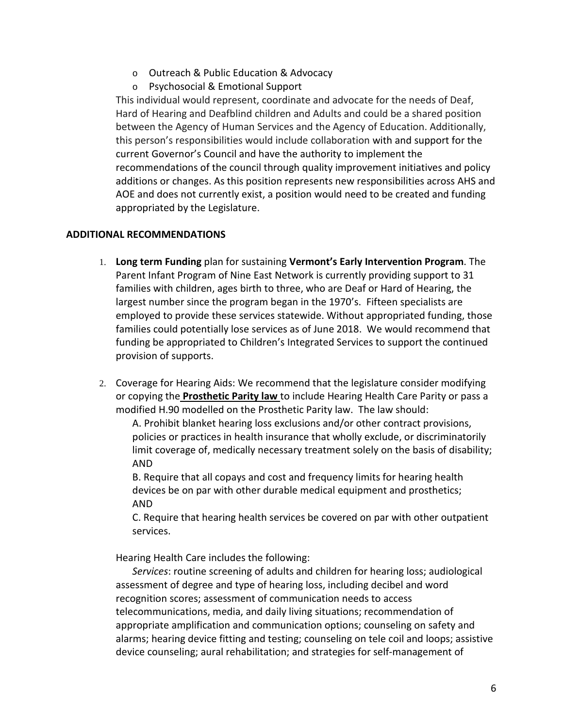- o Outreach & Public Education & Advocacy
- o Psychosocial & Emotional Support

This individual would represent, coordinate and advocate for the needs of Deaf, Hard of Hearing and Deafblind children and Adults and could be a shared position between the Agency of Human Services and the Agency of Education. Additionally, this person's responsibilities would include collaboration with and support for the current Governor's Council and have the authority to implement the recommendations of the council through quality improvement initiatives and policy additions or changes. As this position represents new responsibilities across AHS and AOE and does not currently exist, a position would need to be created and funding appropriated by the Legislature.

### **ADDITIONAL RECOMMENDATIONS**

- 1. **Long term Funding** plan for sustaining **Vermont's Early Intervention Program**. The Parent Infant Program of Nine East Network is currently providing support to 31 families with children, ages birth to three, who are Deaf or Hard of Hearing, the largest number since the program began in the 1970's. Fifteen specialists are employed to provide these services statewide. Without appropriated funding, those families could potentially lose services as of June 2018. We would recommend that funding be appropriated to Children's Integrated Services to support the continued provision of supports.
- 2. Coverage for Hearing Aids: We recommend that the legislature consider modifying or copying the **[Prosthetic](https://legislature.vermont.gov/statutes/section/08/107/04088f) Parity law** to include Hearing Health Care Parity or pass a modified H.90 modelled on the Prosthetic Parity law. The law should:

A. Prohibit blanket hearing loss exclusions and/or other contract provisions, policies or practices in health insurance that wholly exclude, or discriminatorily limit coverage of, medically necessary treatment solely on the basis of disability; AND

B. Require that all copays and cost and frequency limits for hearing health devices be on par with other durable medical equipment and prosthetics; AND

C. Require that hearing health services be covered on par with other outpatient services.

Hearing Health Care includes the following:

*Services*: routine screening of adults and children for hearing loss; audiological assessment of degree and type of hearing loss, including decibel and word recognition scores; assessment of communication needs to access telecommunications, media, and daily living situations; recommendation of appropriate amplification and communication options; counseling on safety and alarms; hearing device fitting and testing; counseling on tele coil and loops; assistive device counseling; aural rehabilitation; and strategies for self-management of